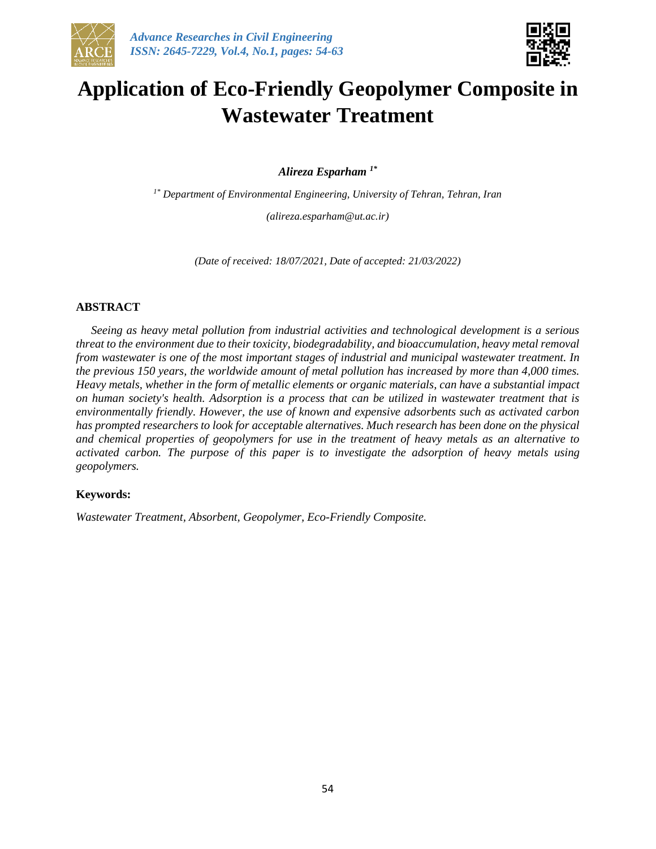



# **Application of Eco-Friendly Geopolymer Composite in Wastewater Treatment**

*Alireza Esparham 1\**

*1\* Department of Environmental Engineering, University of Tehran, Tehran, Iran (alireza.esparham@ut.ac.ir)*

*(Date of received: 18/07/2021, Date of accepted: 21/03/2022)*

### **ABSTRACT**

*Seeing as heavy metal pollution from industrial activities and technological development is a serious threat to the environment due to their toxicity, biodegradability, and bioaccumulation, heavy metal removal from wastewater is one of the most important stages of industrial and municipal wastewater treatment. In the previous 150 years, the worldwide amount of metal pollution has increased by more than 4,000 times. Heavy metals, whether in the form of metallic elements or organic materials, can have a substantial impact on human society's health. Adsorption is a process that can be utilized in wastewater treatment that is environmentally friendly. However, the use of known and expensive adsorbents such as activated carbon has prompted researchers to look for acceptable alternatives. Much research has been done on the physical and chemical properties of geopolymers for use in the treatment of heavy metals as an alternative to activated carbon. The purpose of this paper is to investigate the adsorption of heavy metals using geopolymers.*

#### **Keywords:**

*Wastewater Treatment, Absorbent, Geopolymer, Eco-Friendly Composite.*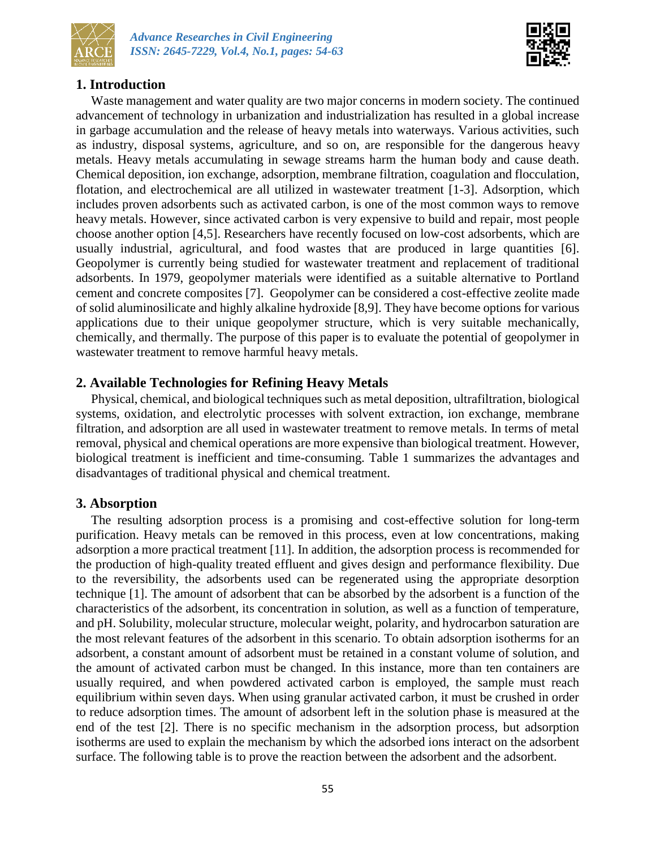



# **1. Introduction**

Waste management and water quality are two major concerns in modern society. The continued advancement of technology in urbanization and industrialization has resulted in a global increase in garbage accumulation and the release of heavy metals into waterways. Various activities, such as industry, disposal systems, agriculture, and so on, are responsible for the dangerous heavy metals. Heavy metals accumulating in sewage streams harm the human body and cause death. Chemical deposition, ion exchange, adsorption, membrane filtration, coagulation and flocculation, flotation, and electrochemical are all utilized in wastewater treatment [1-3]. Adsorption, which includes proven adsorbents such as activated carbon, is one of the most common ways to remove heavy metals. However, since activated carbon is very expensive to build and repair, most people choose another option [4,5]. Researchers have recently focused on low-cost adsorbents, which are usually industrial, agricultural, and food wastes that are produced in large quantities [6]. Geopolymer is currently being studied for wastewater treatment and replacement of traditional adsorbents. In 1979, geopolymer materials were identified as a suitable alternative to Portland cement and concrete composites [7]. Geopolymer can be considered a cost-effective zeolite made of solid aluminosilicate and highly alkaline hydroxide [8,9]. They have become options for various applications due to their unique geopolymer structure, which is very suitable mechanically, chemically, and thermally. The purpose of this paper is to evaluate the potential of geopolymer in wastewater treatment to remove harmful heavy metals.

# **2. Available Technologies for Refining Heavy Metals**

Physical, chemical, and biological techniques such as metal deposition, ultrafiltration, biological systems, oxidation, and electrolytic processes with solvent extraction, ion exchange, membrane filtration, and adsorption are all used in wastewater treatment to remove metals. In terms of metal removal, physical and chemical operations are more expensive than biological treatment. However, biological treatment is inefficient and time-consuming. Table 1 summarizes the advantages and disadvantages of traditional physical and chemical treatment.

# **3. Absorption**

The resulting adsorption process is a promising and cost-effective solution for long-term purification. Heavy metals can be removed in this process, even at low concentrations, making adsorption a more practical treatment [11]. In addition, the adsorption process is recommended for the production of high-quality treated effluent and gives design and performance flexibility. Due to the reversibility, the adsorbents used can be regenerated using the appropriate desorption technique [1]. The amount of adsorbent that can be absorbed by the adsorbent is a function of the characteristics of the adsorbent, its concentration in solution, as well as a function of temperature, and pH. Solubility, molecular structure, molecular weight, polarity, and hydrocarbon saturation are the most relevant features of the adsorbent in this scenario. To obtain adsorption isotherms for an adsorbent, a constant amount of adsorbent must be retained in a constant volume of solution, and the amount of activated carbon must be changed. In this instance, more than ten containers are usually required, and when powdered activated carbon is employed, the sample must reach equilibrium within seven days. When using granular activated carbon, it must be crushed in order to reduce adsorption times. The amount of adsorbent left in the solution phase is measured at the end of the test [2]. There is no specific mechanism in the adsorption process, but adsorption isotherms are used to explain the mechanism by which the adsorbed ions interact on the adsorbent surface. The following table is to prove the reaction between the adsorbent and the adsorbent.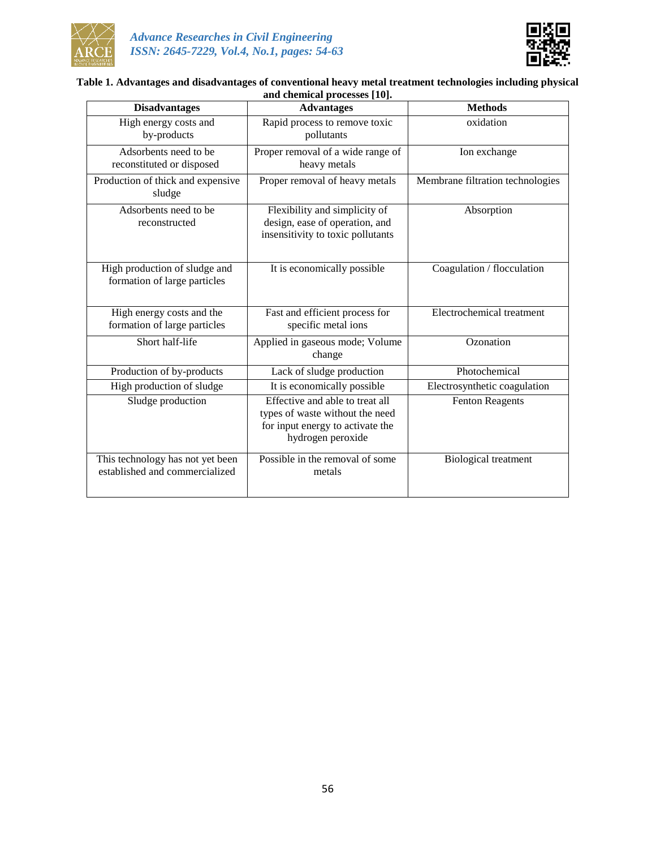



#### **Table 1. Advantages and disadvantages of conventional heavy metal treatment technologies including physical and chemical processes [10].**

| <b>Disadvantages</b>                                               | <b>Advantages</b>                                                                                                           | <b>Methods</b>                   |  |
|--------------------------------------------------------------------|-----------------------------------------------------------------------------------------------------------------------------|----------------------------------|--|
| High energy costs and<br>by-products                               | Rapid process to remove toxic<br>pollutants                                                                                 | oxidation                        |  |
| Adsorbents need to be<br>reconstituted or disposed                 | Proper removal of a wide range of<br>heavy metals                                                                           | Ion exchange                     |  |
| Production of thick and expensive<br>sludge                        | Proper removal of heavy metals                                                                                              | Membrane filtration technologies |  |
| Adsorbents need to be<br>reconstructed                             | Flexibility and simplicity of<br>design, ease of operation, and<br>insensitivity to toxic pollutants                        | Absorption                       |  |
| High production of sludge and<br>formation of large particles      | It is economically possible                                                                                                 | Coagulation / flocculation       |  |
| High energy costs and the<br>formation of large particles          | Fast and efficient process for<br>specific metal ions                                                                       | Electrochemical treatment        |  |
| Short half-life                                                    | Applied in gaseous mode; Volume<br>change                                                                                   | Ozonation                        |  |
| Production of by-products                                          | Lack of sludge production                                                                                                   | Photochemical                    |  |
| High production of sludge                                          | It is economically possible                                                                                                 | Electrosynthetic coagulation     |  |
| Sludge production                                                  | Effective and able to treat all<br>types of waste without the need<br>for input energy to activate the<br>hydrogen peroxide | <b>Fenton Reagents</b>           |  |
| This technology has not yet been<br>established and commercialized | Possible in the removal of some<br>metals                                                                                   | <b>Biological treatment</b>      |  |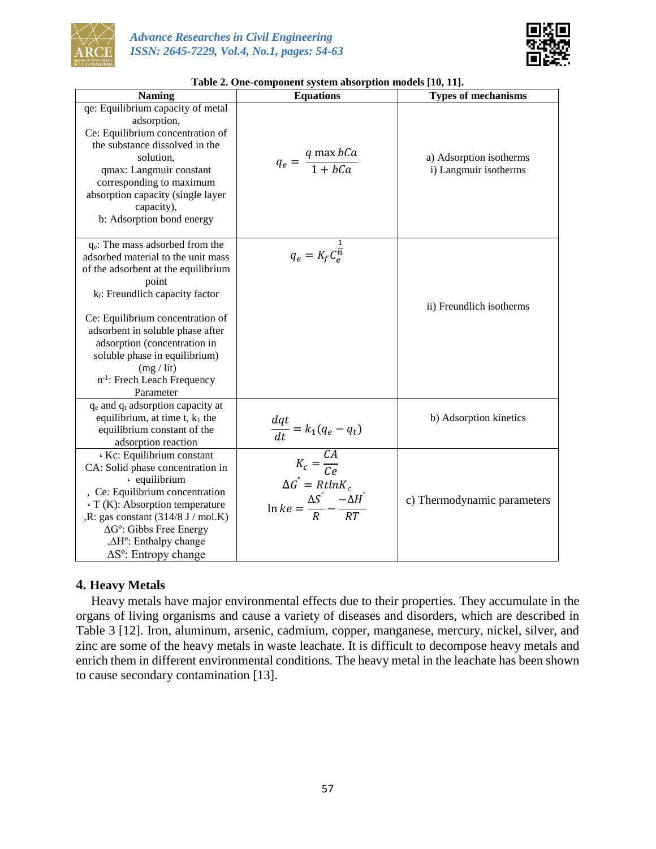



| Table 2. One-component system absorption models [10, 11].<br><b>Naming</b><br><b>Equations</b>                                                                                                                                                                                                                                                                                         |                                                                                                                                            | <b>Types of mechanisms</b>                       |
|----------------------------------------------------------------------------------------------------------------------------------------------------------------------------------------------------------------------------------------------------------------------------------------------------------------------------------------------------------------------------------------|--------------------------------------------------------------------------------------------------------------------------------------------|--------------------------------------------------|
| qe: Equilibrium capacity of metal                                                                                                                                                                                                                                                                                                                                                      |                                                                                                                                            |                                                  |
| adsorption,<br>Ce: Equilibrium concentration of<br>the substance dissolved in the<br>solution,<br>qmax: Langmuir constant<br>corresponding to maximum<br>absorption capacity (single layer<br>capacity),<br>b: Adsorption bond energy                                                                                                                                                  | $q_e = \frac{q \max bCa}{1 + bCa}$                                                                                                         | a) Adsorption isotherms<br>i) Langmuir isotherms |
| $q_e$ : The mass adsorbed from the<br>adsorbed material to the unit mass<br>of the adsorbent at the equilibrium<br>point<br>k <sub>f</sub> : Freundlich capacity factor<br>Ce: Equilibrium concentration of<br>adsorbent in soluble phase after<br>adsorption (concentration in<br>soluble phase in equilibrium)<br>(mg / lit)<br>n <sup>-1</sup> : Frech Leach Frequency<br>Parameter | $q_e = K_f C_e^{\frac{1}{n}}$                                                                                                              | ii) Freundlich isotherms                         |
| $q_e$ and $q_t$ adsorption capacity at<br>equilibrium, at time $t$ , $k_1$ the<br>equilibrium constant of the<br>adsorption reaction                                                                                                                                                                                                                                                   | $\frac{dqt}{dt} = k_1(q_e-q_t)$                                                                                                            | b) Adsorption kinetics                           |
| Kc: Equilibrium constant<br>CA: Solid phase concentration in<br>· equilibrium<br>, Ce: Equilibrium concentration<br>· T (K): Absorption temperature<br>$,R:$ gas constant $(314/8 J/mol.K)$<br>$\Delta G^{\circ}$ : Gibbs Free Energy<br>, $\Delta H^{\circ}$ : Enthalpy change<br>ΔS°: Entropy change                                                                                 | $K_c = \frac{CA}{Ce}$<br>$\Delta G^{\dagger} = R t ln K_c$<br>$\ln ke = \frac{\Delta S^{\circ}}{R} - \frac{\tilde{-\Delta H}^{\circ}}{RT}$ | c) Thermodynamic parameters                      |

| Table 2. One-component system absorption models [10, 11]. |  |  |  |  |
|-----------------------------------------------------------|--|--|--|--|
|                                                           |  |  |  |  |

## **4. Heavy Metals**

Heavy metals have major environmental effects due to their properties. They accumulate in the organs of living organisms and cause a variety of diseases and disorders, which are described in Table 3 [12]. Iron, aluminum, arsenic, cadmium, copper, manganese, mercury, nickel, silver, and zinc are some of the heavy metals in waste leachate. It is difficult to decompose heavy metals and enrich them in different environmental conditions. The heavy metal in the leachate has been shown to cause secondary contamination [13].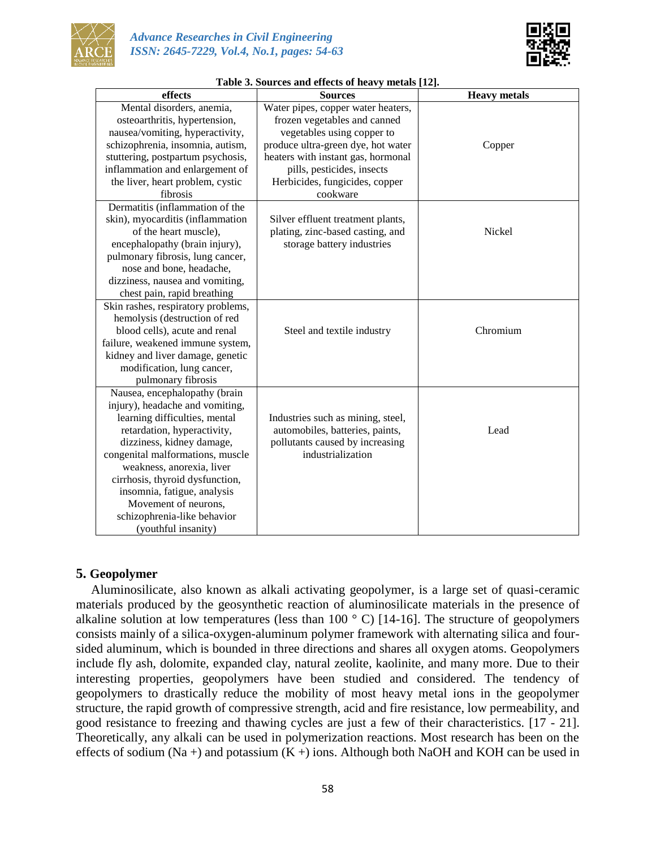



| effects                            | <b>Sources</b>                     | <b>Heavy</b> metals |  |
|------------------------------------|------------------------------------|---------------------|--|
| Mental disorders, anemia,          | Water pipes, copper water heaters, |                     |  |
| osteoarthritis, hypertension,      | frozen vegetables and canned       |                     |  |
| nausea/vomiting, hyperactivity,    | vegetables using copper to         |                     |  |
| schizophrenia, insomnia, autism,   | produce ultra-green dye, hot water | Copper              |  |
| stuttering, postpartum psychosis,  | heaters with instant gas, hormonal |                     |  |
| inflammation and enlargement of    | pills, pesticides, insects         |                     |  |
| the liver, heart problem, cystic   | Herbicides, fungicides, copper     |                     |  |
| fibrosis                           | cookware                           |                     |  |
| Dermatitis (inflammation of the    |                                    |                     |  |
| skin), myocarditis (inflammation   | Silver effluent treatment plants,  |                     |  |
| of the heart muscle),              | plating, zinc-based casting, and   | Nickel              |  |
| encephalopathy (brain injury),     | storage battery industries         |                     |  |
| pulmonary fibrosis, lung cancer,   |                                    |                     |  |
| nose and bone, headache,           |                                    |                     |  |
| dizziness, nausea and vomiting,    |                                    |                     |  |
| chest pain, rapid breathing        |                                    |                     |  |
| Skin rashes, respiratory problems, |                                    |                     |  |
| hemolysis (destruction of red      |                                    |                     |  |
| blood cells), acute and renal      | Steel and textile industry         | Chromium            |  |
| failure, weakened immune system,   |                                    |                     |  |
| kidney and liver damage, genetic   |                                    |                     |  |
| modification, lung cancer,         |                                    |                     |  |
| pulmonary fibrosis                 |                                    |                     |  |
| Nausea, encephalopathy (brain      |                                    |                     |  |
| injury), headache and vomiting,    |                                    |                     |  |
| learning difficulties, mental      | Industries such as mining, steel,  |                     |  |
| retardation, hyperactivity,        | automobiles, batteries, paints,    | Lead                |  |
| dizziness, kidney damage,          | pollutants caused by increasing    |                     |  |
| congenital malformations, muscle   | industrialization                  |                     |  |
| weakness, anorexia, liver          |                                    |                     |  |
| cirrhosis, thyroid dysfunction,    |                                    |                     |  |
| insomnia, fatigue, analysis        |                                    |                     |  |
| Movement of neurons,               |                                    |                     |  |
| schizophrenia-like behavior        |                                    |                     |  |
| (youthful insanity)                |                                    |                     |  |

#### **Table 3. Sources and effects of heavy metals [12].**

## **5. Geopolymer**

Aluminosilicate, also known as alkali activating geopolymer, is a large set of quasi-ceramic materials produced by the geosynthetic reaction of aluminosilicate materials in the presence of alkaline solution at low temperatures (less than  $100^\circ$  C) [14-16]. The structure of geopolymers consists mainly of a silica-oxygen-aluminum polymer framework with alternating silica and foursided aluminum, which is bounded in three directions and shares all oxygen atoms. Geopolymers include fly ash, dolomite, expanded clay, natural zeolite, kaolinite, and many more. Due to their interesting properties, geopolymers have been studied and considered. The tendency of geopolymers to drastically reduce the mobility of most heavy metal ions in the geopolymer structure, the rapid growth of compressive strength, acid and fire resistance, low permeability, and good resistance to freezing and thawing cycles are just a few of their characteristics. [17 - 21]. Theoretically, any alkali can be used in polymerization reactions. Most research has been on the effects of sodium (Na +) and potassium (K +) ions. Although both NaOH and KOH can be used in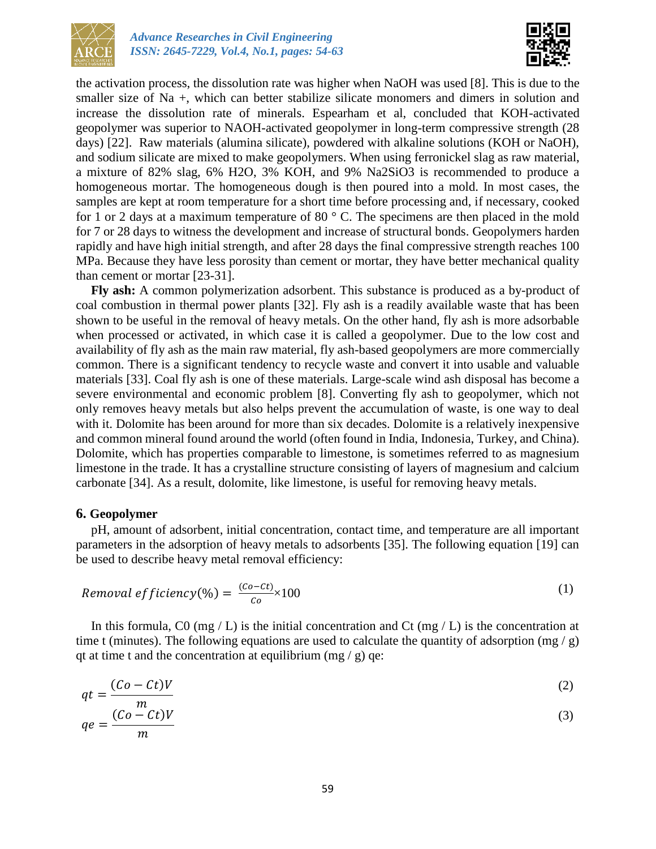



the activation process, the dissolution rate was higher when NaOH was used [8]. This is due to the smaller size of Na +, which can better stabilize silicate monomers and dimers in solution and increase the dissolution rate of minerals. Espearham et al, concluded that KOH-activated geopolymer was superior to NAOH-activated geopolymer in long-term compressive strength (28 days) [22]. Raw materials (alumina silicate), powdered with alkaline solutions (KOH or NaOH), and sodium silicate are mixed to make geopolymers. When using ferronickel slag as raw material, a mixture of 82% slag, 6% H2O, 3% KOH, and 9% Na2SiO3 is recommended to produce a homogeneous mortar. The homogeneous dough is then poured into a mold. In most cases, the samples are kept at room temperature for a short time before processing and, if necessary, cooked for 1 or 2 days at a maximum temperature of 80 ° C. The specimens are then placed in the mold for 7 or 28 days to witness the development and increase of structural bonds. Geopolymers harden rapidly and have high initial strength, and after 28 days the final compressive strength reaches 100 MPa. Because they have less porosity than cement or mortar, they have better mechanical quality than cement or mortar [23-31].

**Fly ash:** A common polymerization adsorbent. This substance is produced as a by-product of coal combustion in thermal power plants [32]. Fly ash is a readily available waste that has been shown to be useful in the removal of heavy metals. On the other hand, fly ash is more adsorbable when processed or activated, in which case it is called a geopolymer. Due to the low cost and availability of fly ash as the main raw material, fly ash-based geopolymers are more commercially common. There is a significant tendency to recycle waste and convert it into usable and valuable materials [33]. Coal fly ash is one of these materials. Large-scale wind ash disposal has become a severe environmental and economic problem [8]. Converting fly ash to geopolymer, which not only removes heavy metals but also helps prevent the accumulation of waste, is one way to deal with it. Dolomite has been around for more than six decades. Dolomite is a relatively inexpensive and common mineral found around the world (often found in India, Indonesia, Turkey, and China). Dolomite, which has properties comparable to limestone, is sometimes referred to as magnesium limestone in the trade. It has a crystalline structure consisting of layers of magnesium and calcium carbonate [34]. As a result, dolomite, like limestone, is useful for removing heavy metals.

#### **6. Geopolymer**

pH, amount of adsorbent, initial concentration, contact time, and temperature are all important parameters in the adsorption of heavy metals to adsorbents [35]. The following equation [19] can be used to describe heavy metal removal efficiency:

$$
Removal \, efficiency(\%) = \frac{(co-ct)}{co} \times 100 \tag{1}
$$

In this formula, C0 (mg / L) is the initial concentration and Ct (mg / L) is the concentration at time t (minutes). The following equations are used to calculate the quantity of adsorption (mg / g) qt at time t and the concentration at equilibrium (mg / g) qe:

$$
qt = \frac{(Co - Ct)V}{}
$$

$$
qe = \frac{(Co - Ct)V}{m}
$$
 (3)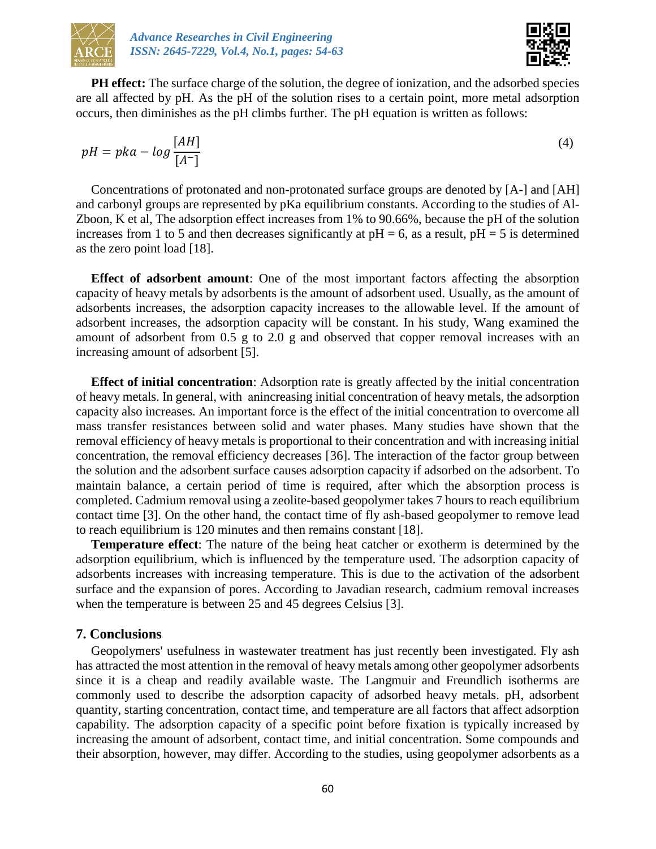



**PH effect:** The surface charge of the solution, the degree of ionization, and the adsorbed species are all affected by pH. As the pH of the solution rises to a certain point, more metal adsorption occurs, then diminishes as the pH climbs further. The pH equation is written as follows:

$$
pH = pka - log \frac{[AH]}{[A^-]}
$$
\n(4)

Concentrations of protonated and non-protonated surface groups are denoted by [A-] and [AH] and carbonyl groups are represented by pKa equilibrium constants. According to the studies of Al-Zboon, K et al, The adsorption effect increases from 1% to 90.66%, because the pH of the solution increases from 1 to 5 and then decreases significantly at  $pH = 6$ , as a result,  $pH = 5$  is determined as the zero point load [18].

**Effect of adsorbent amount**: One of the most important factors affecting the absorption capacity of heavy metals by adsorbents is the amount of adsorbent used. Usually, as the amount of adsorbents increases, the adsorption capacity increases to the allowable level. If the amount of adsorbent increases, the adsorption capacity will be constant. In his study, Wang examined the amount of adsorbent from 0.5 g to 2.0 g and observed that copper removal increases with an increasing amount of adsorbent [5].

**Effect of initial concentration**: Adsorption rate is greatly affected by the initial concentration of heavy metals. In general, with naincreasing initial concentration of heavy metals, the adsorption capacity also increases. An important force is the effect of the initial concentration to overcome all mass transfer resistances between solid and water phases. Many studies have shown that the removal efficiency of heavy metals is proportional to their concentration and with increasing initial concentration, the removal efficiency decreases [36]. The interaction of the factor group between the solution and the adsorbent surface causes adsorption capacity if adsorbed on the adsorbent. To maintain balance, a certain period of time is required, after which the absorption process is completed. Cadmium removal using a zeolite-based geopolymer takes 7 hours to reach equilibrium contact time [3]. On the other hand, the contact time of fly ash-based geopolymer to remove lead to reach equilibrium is 120 minutes and then remains constant [18].

**Temperature effect**: The nature of the being heat catcher or exotherm is determined by the adsorption equilibrium, which is influenced by the temperature used. The adsorption capacity of adsorbents increases with increasing temperature. This is due to the activation of the adsorbent surface and the expansion of pores. According to Javadian research, cadmium removal increases when the temperature is between 25 and 45 degrees Celsius [3].

## **7. Conclusions**

Geopolymers' usefulness in wastewater treatment has just recently been investigated. Fly ash has attracted the most attention in the removal of heavy metals among other geopolymer adsorbents since it is a cheap and readily available waste. The Langmuir and Freundlich isotherms are commonly used to describe the adsorption capacity of adsorbed heavy metals. pH, adsorbent quantity, starting concentration, contact time, and temperature are all factors that affect adsorption capability. The adsorption capacity of a specific point before fixation is typically increased by increasing the amount of adsorbent, contact time, and initial concentration. Some compounds and their absorption, however, may differ. According to the studies, using geopolymer adsorbents as a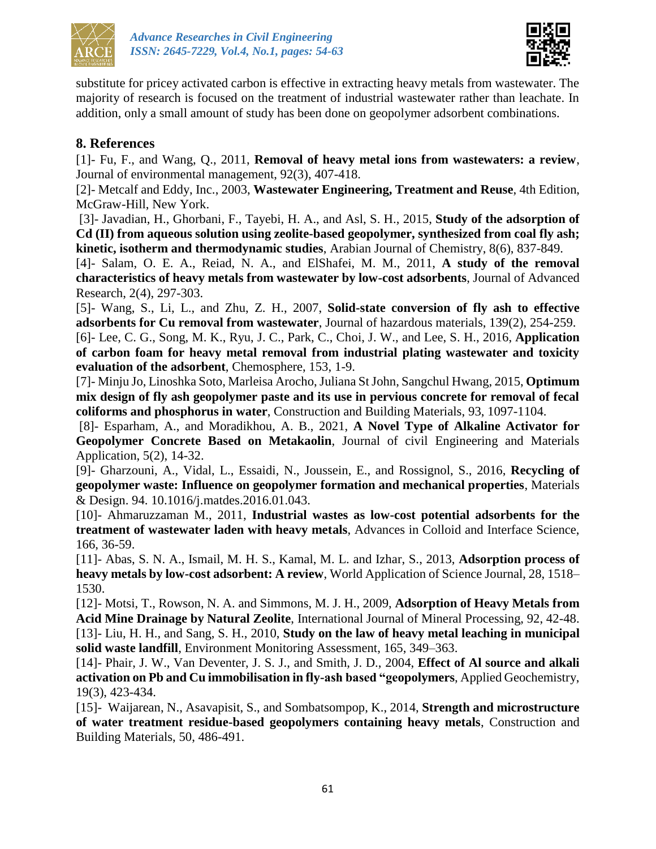



substitute for pricey activated carbon is effective in extracting heavy metals from wastewater. The majority of research is focused on the treatment of industrial wastewater rather than leachate. In addition, only a small amount of study has been done on geopolymer adsorbent combinations.

# **8. References**

[1]- Fu, F., and Wang, Q., 2011, **Removal of heavy metal ions from wastewaters: a review**, Journal of environmental management, 92(3), 407-418.

[2]- Metcalf and Eddy, Inc., 2003, **Wastewater Engineering, Treatment and Reuse**, 4th Edition, McGraw-Hill, New York.

[3]- Javadian, H., Ghorbani, F., Tayebi, H. A., and Asl, S. H., 2015, **Study of the adsorption of Cd (II) from aqueous solution using zeolite-based geopolymer, synthesized from coal fly ash; kinetic, isotherm and thermodynamic studies**, Arabian Journal of Chemistry, 8(6), 837-849.

[4]- Salam, O. E. A., Reiad, N. A., and ElShafei, M. M., 2011, **A study of the removal characteristics of heavy metals from wastewater by low-cost adsorbents**, Journal of Advanced Research, 2(4), 297-303.

[5]- Wang, S., Li, L., and Zhu, Z. H., 2007, **Solid-state conversion of fly ash to effective adsorbents for Cu removal from wastewater**, Journal of hazardous materials, 139(2), 254-259.

[6]- Lee, C. G., Song, M. K., Ryu, J. C., Park, C., Choi, J. W., and Lee, S. H., 2016, **Application of carbon foam for heavy metal removal from industrial plating wastewater and toxicity evaluation of the adsorbent**, Chemosphere, 153, 1-9.

[7]- Minju Jo, Linoshka Soto, Marleisa Arocho, Juliana St John, Sangchul Hwang, 2015, **Optimum mix design of fly ash geopolymer paste and its use in pervious concrete for removal of fecal coliforms and phosphorus in water**, Construction and Building Materials, 93, 1097-1104.

[8]- Esparham, A., and Moradikhou, A. B., 2021, **A Novel Type of Alkaline Activator for Geopolymer Concrete Based on Metakaolin**, Journal of civil Engineering and Materials Application, 5(2), 14-32.

[9]- Gharzouni, A., Vidal, L., Essaidi, N., Joussein, E., and Rossignol, S., 2016, **Recycling of geopolymer waste: Influence on geopolymer formation and mechanical properties**, Materials & Design. 94. 10.1016/j.matdes.2016.01.043.

[10]- Ahmaruzzaman M., 2011, **Industrial wastes as low-cost potential adsorbents for the treatment of wastewater laden with heavy metals**, Advances in Colloid and Interface Science, 166, 36-59.

[11]- Abas, S. N. A., Ismail, M. H. S., Kamal, M. L. and Izhar, S., 2013, **Adsorption process of heavy metals by low-cost adsorbent: A review**, World Application of Science Journal, 28, 1518– 1530.

[12]- Motsi, T., Rowson, N. A. and Simmons, M. J. H., 2009, **Adsorption of Heavy Metals from Acid Mine Drainage by Natural Zeolite**, International Journal of Mineral Processing, 92, 42-48. [13]- Liu, H. H., and Sang, S. H., 2010, **Study on the law of heavy metal leaching in municipal solid waste landfill**, Environment Monitoring Assessment, 165, 349–363.

[14]- Phair, J. W., Van Deventer, J. S. J., and Smith, J. D., 2004, **Effect of Al source and alkali activation on Pb and Cu immobilisation in fly-ash based "geopolymers**, Applied Geochemistry, 19(3), 423-434.

[15]- Waijarean, N., Asavapisit, S., and Sombatsompop, K., 2014, **Strength and microstructure of water treatment residue-based geopolymers containing heavy metals**, Construction and Building Materials, 50, 486-491.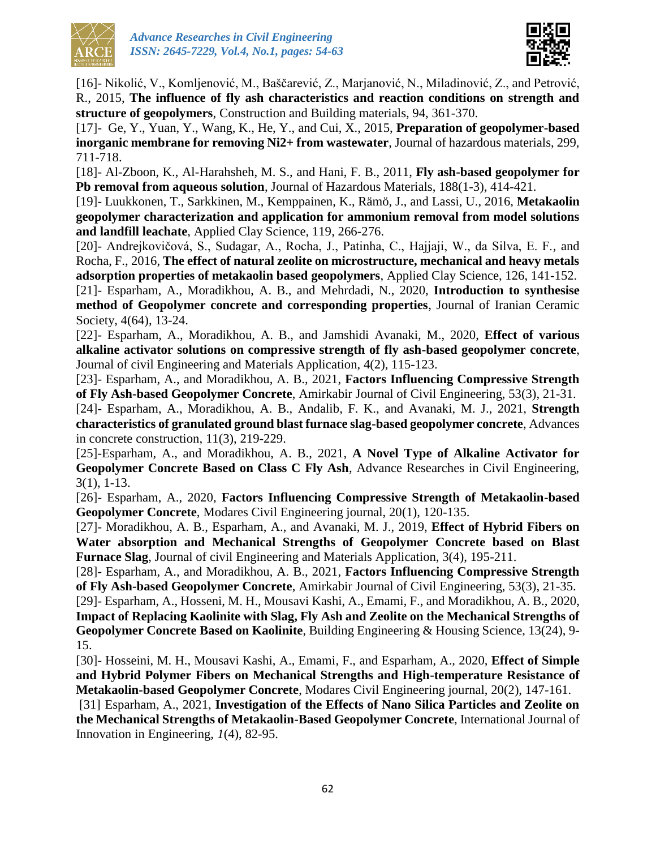



[16]- Nikolić, V., Komljenović, M., Baščarević, Z., Marjanović, N., Miladinović, Z., and Petrović, R., 2015, **The influence of fly ash characteristics and reaction conditions on strength and structure of geopolymers**, Construction and Building materials, 94, 361-370.

[17]- Ge, Y., Yuan, Y., Wang, K., He, Y., and Cui, X., 2015, **Preparation of geopolymer-based inorganic membrane for removing Ni2+ from wastewater**, Journal of hazardous materials, 299, 711-718.

[18]- Al-Zboon, K., Al-Harahsheh, M. S., and Hani, F. B., 2011, **Fly ash-based geopolymer for Pb removal from aqueous solution**, Journal of Hazardous Materials, 188(1-3), 414-421.

[19]- Luukkonen, T., Sarkkinen, M., Kemppainen, K., Rämö, J., and Lassi, U., 2016, **Metakaolin geopolymer characterization and application for ammonium removal from model solutions and landfill leachate**, Applied Clay Science, 119, 266-276.

[20]- Andrejkovičová, S., Sudagar, A., Rocha, J., Patinha, C., Hajjaji, W., da Silva, E. F., and Rocha, F., 2016, **The effect of natural zeolite on microstructure, mechanical and heavy metals adsorption properties of metakaolin based geopolymers**, Applied Clay Science, 126, 141-152.

[21]- Esparham, A., Moradikhou, A. B., and Mehrdadi, N., 2020, **Introduction to synthesise method of Geopolymer concrete and corresponding properties**, Journal of Iranian Ceramic Society, 4(64), 13-24.

[22]- Esparham, A., Moradikhou, A. B., and Jamshidi Avanaki, M., 2020, **Effect of various alkaline activator solutions on compressive strength of fly ash-based geopolymer concrete**, Journal of civil Engineering and Materials Application, 4(2), 115-123.

[23]- Esparham, A., and Moradikhou, A. B., 2021, **Factors Influencing Compressive Strength of Fly Ash-based Geopolymer Concrete**, Amirkabir Journal of Civil Engineering, 53(3), 21-31.

[24]- Esparham, A., Moradikhou, A. B., Andalib, F. K., and Avanaki, M. J., 2021, **Strength characteristics of granulated ground blast furnace slag-based geopolymer concrete**, Advances in concrete construction, 11(3), 219-229.

[25]-Esparham, A., and Moradikhou, A. B., 2021, **A Novel Type of Alkaline Activator for Geopolymer Concrete Based on Class C Fly Ash**, Advance Researches in Civil Engineering, 3(1), 1-13.

[26]- Esparham, A., 2020, **Factors Influencing Compressive Strength of Metakaolin-based Geopolymer Concrete**, Modares Civil Engineering journal, 20(1), 120-135.

[27]- Moradikhou, A. B., Esparham, A., and Avanaki, M. J., 2019, **Effect of Hybrid Fibers on Water absorption and Mechanical Strengths of Geopolymer Concrete based on Blast Furnace Slag**, Journal of civil Engineering and Materials Application, 3(4), 195-211.

[28]- Esparham, A., and Moradikhou, A. B., 2021, **Factors Influencing Compressive Strength of Fly Ash-based Geopolymer Concrete**, Amirkabir Journal of Civil Engineering, 53(3), 21-35.

[29]- Esparham, A., Hosseni, M. H., Mousavi Kashi, A., Emami, F., and Moradikhou, A. B., 2020, **Impact of Replacing Kaolinite with Slag, Fly Ash and Zeolite on the Mechanical Strengths of Geopolymer Concrete Based on Kaolinite**, Building Engineering & Housing Science, 13(24), 9- 15.

[30]- Hosseini, M. H., Mousavi Kashi, A., Emami, F., and Esparham, A., 2020, **Effect of Simple and Hybrid Polymer Fibers on Mechanical Strengths and High-temperature Resistance of Metakaolin-based Geopolymer Concrete**, Modares Civil Engineering journal, 20(2), 147-161.

[31] Esparham, A., 2021, **Investigation of the Effects of Nano Silica Particles and Zeolite on the Mechanical Strengths of Metakaolin-Based Geopolymer Concrete**, International Journal of Innovation in Engineering, *1*(4), 82-95.